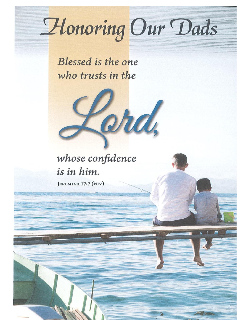# Honoring Our Dads

Blessed is the one who trusts in the



JEREMIAH 17:7 (NIV)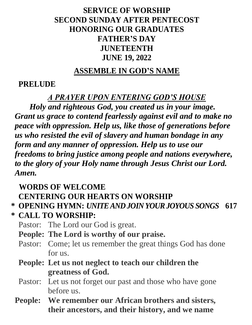# **SERVICE OF WORSHIP SECOND SUNDAY AFTER PENTECOST HONORING OUR GRADUATES FATHER'S DAY JUNETEENTH JUNE 19, 2022**

#### **ASSEMBLE IN GOD'S NAME**

## **PRELUDE**

#### *A PRAYER UPON ENTERING GOD'S HOUSE*

*Holy and righteous God, you created us in your image. Grant us grace to contend fearlessly against evil and to make no peace with oppression. Help us, like those of generations before us who resisted the evil of slavery and human bondage in any form and any manner of oppression. Help us to use our freedoms to bring justice among people and nations everywhere, to the glory of your Holy name through Jesus Christ our Lord. Amen.* 

# **WORDS OF WELCOME**

# **CENTERING OUR HEARTS ON WORSHIP**

# **\* OPENING HYMN:** *UNITE AND JOIN YOUR JOYOUS SONGS* **617**

**\* CALL TO WORSHIP:**

Pastor: The Lord our God is great.

- **People: The Lord is worthy of our praise.**
- Pastor: Come; let us remember the great things God has done for us.
- **People: Let us not neglect to teach our children the greatness of God.**
- Pastor: Let us not forget our past and those who have gone before us.
- **People: We remember our African brothers and sisters, their ancestors, and their history, and we name**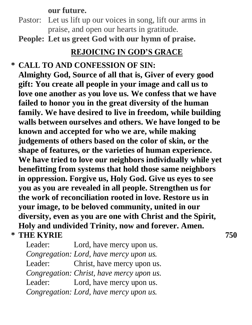#### **our future.**

- Pastor: Let us lift up our voices in song, lift our arms in praise, and open our hearts in gratitude.
- **People: Let us greet God with our hymn of praise.**

# **REJOICING IN GOD'S GRACE**

**\* CALL TO AND CONFESSION OF SIN: Almighty God, Source of all that is, Giver of every good gift: You create all people in your image and call us to love one another as you love us. We confess that we have failed to honor you in the great diversity of the human family. We have desired to live in freedom, while building walls between ourselves and others. We have longed to be known and accepted for who we are, while making judgements of others based on the color of skin, or the shape of features, or the varieties of human experience. We have tried to love our neighbors individually while yet benefitting from systems that hold those same neighbors in oppression. Forgive us, Holy God. Give us eyes to see you as you are revealed in all people. Strengthen us for the work of reconciliation rooted in love. Restore us in your image, to be beloved community, united in our diversity, even as you are one with Christ and the Spirit, Holy and undivided Trinity, now and forever. Amen. \* THE KYRIE 750**

Leader: Lord, have mercy upon us. *Congregation: Lord, have mercy upon us.* Leader: Christ, have mercy upon us. *Congregation: Christ, have mercy upon us.* Leader: Lord, have mercy upon us. *Congregation: Lord, have mercy upon us.*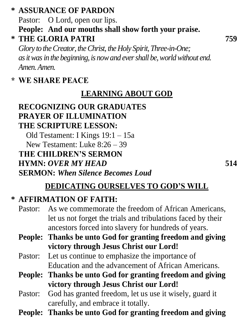# **\* ASSURANCE OF PARDON**

Pastor: O Lord, open our lips. **People: And our mouths shall show forth your praise.**

**\* THE GLORIA PATRI 759**

*Glory to the Creator, the Christ, the Holy Spirit, Three-in-One; as it was in the beginning, is now and ever shall be, world without end. Amen. Amen.*

# **\* WE SHARE PEACE**

# **LEARNING ABOUT GOD**

# **RECOGNIZING OUR GRADUATES PRAYER OF ILLUMINATION THE SCRIPTURE LESSON:**

Old Testament: I Kings 19:1 – 15a New Testament: Luke 8:26 – 39  **THE CHILDREN'S SERMON HYMN:** *OVER MY HEAD* **514 SERMON:** *When Silence Becomes Loud*

# **DEDICATING OURSELVES TO GOD'S WILL**

# **\* AFFIRMATION OF FAITH:**

- Pastor: As we commemorate the freedom of African Americans, let us not forget the trials and tribulations faced by their ancestors forced into slavery for hundreds of years.
- **People: Thanks be unto God for granting freedom and giving victory through Jesus Christ our Lord!**
- Pastor: Let us continue to emphasize the importance of Education and the advancement of African Americans.
- **People: Thanks be unto God for granting freedom and giving victory through Jesus Christ our Lord!**
- Pastor: God has granted freedom, let us use it wisely, guard it carefully, and embrace it totally.
- **People: Thanks be unto God for granting freedom and giving**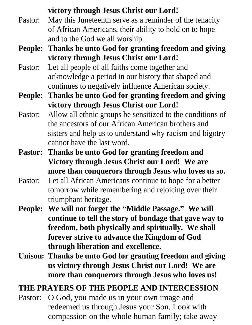#### **victory through Jesus Christ our Lord!**

- Pastor: May this Juneteenth serve as a reminder of the tenacity of African Americans, their ability to hold on to hope and to the God we all worship.
- **People: Thanks be unto God for granting freedom and giving victory through Jesus Christ our Lord!**
- Pastor: Let all people of all faiths come together and acknowledge a period in our history that shaped and continues to negatively influence American society.
- **People: Thanks be unto God for granting freedom and giving victory through Jesus Christ our Lord!**
- Pastor: Allow all ethnic groups be sensitized to the conditions of the ancestors of our African American brothers and sisters and help us to understand why racism and bigotry cannot have the last word.
- **Pastor: Thanks be unto God for granting freedom and Victory through Jesus Christ our Lord! We are more than conquerors through Jesus who loves us so.**
- Pastor: Let all African Americans continue to hope for a better tomorrow while remembering and rejoicing over their triumphant heritage.
- **People: We will not forget the "Middle Passage." We will continue to tell the story of bondage that gave way to freedom, both physically and spiritually. We shall forever strive to advance the Kingdom of God through liberation and excellence.**
- **Unison: Thanks be unto God for granting freedom and giving us victory through Jesus Christ our Lord! We are more than conquerors through Jesus who loves us!**

# **THE PRAYERS OF THE PEOPLE AND INTERCESSION**

Pastor: O God, you made us in your own image and redeemed us through Jesus your Son. Look with compassion on the whole human family; take away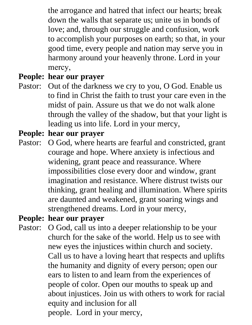the arrogance and hatred that infect our hearts; break down the walls that separate us; unite us in bonds of love; and, through our struggle and confusion, work to accomplish your purposes on earth; so that, in your good time, every people and nation may serve you in harmony around your heavenly throne. Lord in your mercy,

#### **People: hear our prayer**

Pastor: Out of the darkness we cry to you, O God. Enable us to find in Christ the faith to trust your care even in the midst of pain. Assure us that we do not walk alone through the valley of the shadow, but that your light is leading us into life. Lord in your mercy,

#### **People: hear our prayer**

Pastor: O God, where hearts are fearful and constricted, grant courage and hope. Where anxiety is infectious and widening, grant peace and reassurance. Where impossibilities close every door and window, grant imagination and resistance. Where distrust twists our thinking, grant healing and illumination. Where spirits are daunted and weakened, grant soaring wings and strengthened dreams. Lord in your mercy,

#### **People: hear our prayer**

Pastor: O God, call us into a deeper relationship to be your church for the sake of the world. Help us to see with new eyes the injustices within church and society. Call us to have a loving heart that respects and uplifts the humanity and dignity of every person; open our ears to listen to and learn from the experiences of people of color. Open our mouths to speak up and about injustices. Join us with others to work for racial equity and inclusion for all people. Lord in your mercy,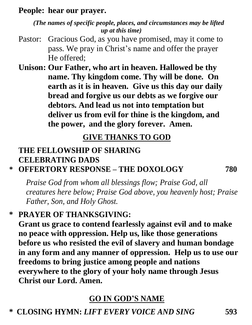#### **People: hear our prayer.**

*(The names of specific people, places, and circumstances may be lifted up at this time)*

Pastor: Gracious God, as you have promised, may it come to pass. We pray in Christ's name and offer the prayer He offered;

**Unison: Our Father, who art in heaven. Hallowed be thy name. Thy kingdom come. Thy will be done. On earth as it is in heaven. Give us this day our daily bread and forgive us our debts as we forgive our debtors. And lead us not into temptation but deliver us from evil for thine is the kingdom, and the power, and the glory forever. Amen.** 

#### **GIVE THANKS TO GOD**

#### **THE FELLOWSHIP OF SHARING CELEBRATING DADS**

**\* OFFERTORY RESPONSE – THE DOXOLOGY 780**

*Praise God from whom all blessings flow; Praise God, all creatures here below; Praise God above, you heavenly host; Praise Father, Son, and Holy Ghost.*

**\* PRAYER OF THANKSGIVING:**

**Grant us grace to contend fearlessly against evil and to make no peace with oppression. Help us, like those generations before us who resisted the evil of slavery and human bondage in any form and any manner of oppression. Help us to use our freedoms to bring justice among people and nations everywhere to the glory of your holy name through Jesus Christ our Lord. Amen.**

# **GO IN GOD'S NAME**

**\* CLOSING HYMN:** *LIFT EVERY VOICE AND SING* **593**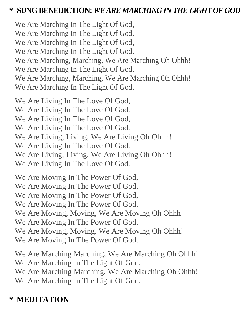#### **\* SUNG BENEDICTION:** *WE ARE MARCHING IN THE LIGHT OF GOD*

We Are Marching In The Light Of God, We Are Marching In The Light Of God. We Are Marching In The Light Of God, We Are Marching In The Light Of God. We Are Marching, Marching, We Are Marching Oh Ohhh! We Are Marching In The Light Of God. We Are Marching, Marching, We Are Marching Oh Ohhh! We Are Marching In The Light Of God.

We Are Living In The Love Of God,

We Are Living In The Love Of God.

We Are Living In The Love Of God,

We Are Living In The Love Of God.

We Are Living, Living, We Are Living Oh Ohhh!

We Are Living In The Love Of God.

We Are Living, Living, We Are Living Oh Ohhh!

We Are Living In The Love Of God.

We Are Moving In The Power Of God, We Are Moving In The Power Of God. We Are Moving In The Power Of God, We Are Moving In The Power Of God. We Are Moving, Moving, We Are Moving Oh Ohhh We Are Moving In The Power Of God. We Are Moving, Moving. We Are Moving Oh Ohhh! We Are Moving In The Power Of God.

We Are Marching Marching, We Are Marching Oh Ohhh! We Are Marching In The Light Of God. We Are Marching Marching, We Are Marching Oh Ohhh! We Are Marching In The Light Of God.

# **\* MEDITATION**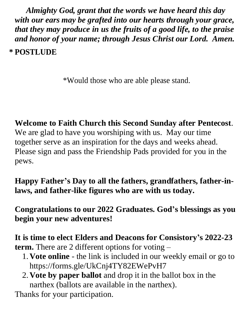*Almighty God, grant that the words we have heard this day with our ears may be grafted into our hearts through your grace, that they may produce in us the fruits of a good life, to the praise and honor of your name; through Jesus Christ our Lord. Amen.* **\* POSTLUDE**

\*Would those who are able please stand.

**Welcome to Faith Church this Second Sunday after Pentecost**. We are glad to have you worshiping with us. May our time together serve as an inspiration for the days and weeks ahead. Please sign and pass the Friendship Pads provided for you in the pews.

**Happy Father's Day to all the fathers, grandfathers, father-inlaws, and father-like figures who are with us today.**

**Congratulations to our 2022 Graduates. God's blessings as you begin your new adventures!**

**It is time to elect Elders and Deacons for Consistory's 2022-23 term.** There are 2 different options for voting –

- 1. **Vote online** the link is included in our weekly email or go to https://forms.gle/UkCnj4TY82EWePvH7
- 2. **Vote by paper ballot** and drop it in the ballot box in the narthex (ballots are available in the narthex).

Thanks for your participation.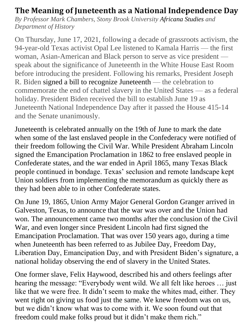# **The Meaning of Juneteenth as a National Independence Day**

*By Professor Mark Chambers, Stony Brook University Africana Studies and Department of History*

On Thursday, June 17, 2021, following a decade of grassroots activism, the 94-year-old Texas activist Opal Lee listened to Kamala Harris — the first woman, Asian-American and Black person to serve as vice president speak about the significance of Juneteenth in the White House East Room before introducing the president. Following his remarks, President Joseph R. Biden signed a bill to recognize Juneteenth — the celebration to commemorate the end of chattel slavery in the United States — as a federal holiday. President Biden received the bill to establish June 19 as Juneteenth National Independence Day after it passed the House 415-14 and the Senate unanimously.

Juneteenth is celebrated annually on the 19th of June to mark the date when some of the last enslaved people in the Confederacy were notified of their freedom following the Civil War. While President Abraham Lincoln signed the Emancipation Proclamation in 1862 to free enslaved people in Confederate states, and the war ended in April 1865, many Texas Black people continued in bondage. Texas' seclusion and remote landscape kept Union soldiers from implementing the memorandum as quickly there as they had been able to in other Confederate states.

On June 19, 1865, Union Army Major General Gordon Granger arrived in Galveston, Texas, to announce that the war was over and the Union had won. The announcement came two months after the conclusion of the Civil War, and even longer since President Lincoln had first signed the Emancipation Proclamation. That was over 150 years ago, during a time when Juneteenth has been referred to as Jubilee Day, Freedom Day, Liberation Day, Emancipation Day, and with President Biden's signature, a national holiday observing the end of slavery in the United States.

One former slave, Felix Haywood, described his and others feelings after hearing the message: "Everybody went wild. We all felt like heroes … just like that we were free. It didn't seem to make the whites mad, either. They went right on giving us food just the same. We knew freedom was on us, but we didn't know what was to come with it. We soon found out that freedom could make folks proud but it didn't make them rich."